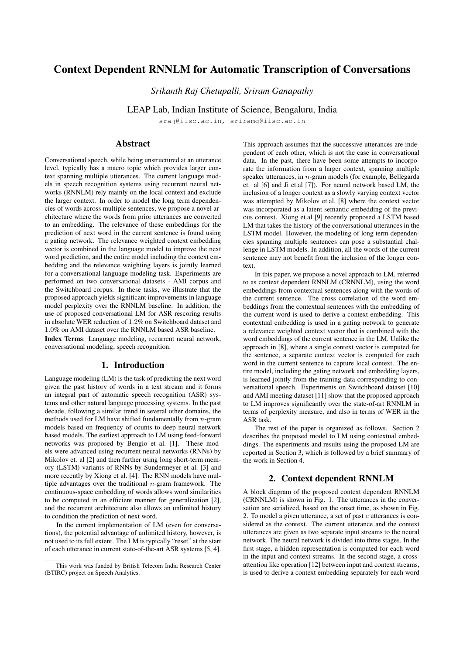# Context Dependent RNNLM for Automatic Transcription of Conversations

*Srikanth Raj Chetupalli, Sriram Ganapathy*

LEAP Lab, Indian Institute of Science, Bengaluru, India

sraj@iisc.ac.in, sriramg@iisc.ac.in

# Abstract

Conversational speech, while being unstructured at an utterance level, typically has a macro topic which provides larger context spanning multiple utterances. The current language models in speech recognition systems using recurrent neural networks (RNNLM) rely mainly on the local context and exclude the larger context. In order to model the long term dependencies of words across multiple sentences, we propose a novel architecture where the words from prior utterances are converted to an embedding. The relevance of these embeddings for the prediction of next word in the current sentence is found using a gating network. The relevance weighted context embedding vector is combined in the language model to improve the next word prediction, and the entire model including the context embedding and the relevance weighting layers is jointly learned for a conversational language modeling task. Experiments are performed on two conversational datasets - AMI corpus and the Switchboard corpus. In these tasks, we illustrate that the proposed approach yields significant improvements in language model perplexity over the RNNLM baseline. In addition, the use of proposed conversational LM for ASR rescoring results in absolute WER reduction of 1.2% on Switchboard dataset and 1.0% on AMI dataset over the RNNLM based ASR baseline. Index Terms: Language modeling, recurrent neural network, conversational modeling, speech recognition.

# 1. Introduction

Language modeling (LM) is the task of predicting the next word given the past history of words in a text stream and it forms an integral part of automatic speech recognition (ASR) systems and other natural language processing systems. In the past decade, following a similar trend in several other domains, the methods used for LM have shifted fundamentally from  $n$ -gram models based on frequency of counts to deep neural network based models. The earliest approach to LM using feed-forward networks was proposed by Bengio et al. [1]. These models were advanced using recurrent neural networks (RNNs) by Mikolov et. al [2] and then further using long short-term memory (LSTM) variants of RNNs by Sundermeyer et al. [3] and more recently by Xiong et al. [4]. The RNN models have multiple advantages over the traditional  $n$ -gram framework. The continuous-space embedding of words allows word similarities to be computed in an efficient manner for generalization [2], and the recurrent architecture also allows an unlimited history to condition the prediction of next word.

In the current implementation of LM (even for conversations), the potential advantage of unlimited history, however, is not used to its full extent. The LM is typically "reset" at the start of each utterance in current state-of-the-art ASR systems [5, 4].

This approach assumes that the successive utterances are independent of each other, which is not the case in conversational data. In the past, there have been some attempts to incorporate the information from a larger context, spanning multiple speaker utterances, in  $n$ -gram models (for example, Bellegarda et. al [6] and Ji et.al [7]). For neural network based LM, the inclusion of a longer context as a slowly varying context vector was attempted by Mikolov et.al. [8] where the context vector was incorporated as a latent semantic embedding of the previous context. Xiong et.al [9] recently proposed a LSTM based LM that takes the history of the conversational utterances in the LSTM model. However, the modeling of long term dependencies spanning multiple sentences can pose a substantial challenge in LSTM models. In addition, all the words of the current sentence may not benefit from the inclusion of the longer context.

In this paper, we propose a novel approach to LM, referred to as context dependent RNNLM (CRNNLM), using the word embeddings from contextual sentences along with the words of the current sentence. The cross correlation of the word embeddings from the contextual sentences with the embedding of the current word is used to derive a context embedding. This contextual embedding is used in a gating network to generate a relevance weighted context vector that is combined with the word embeddings of the current sentence in the LM. Unlike the approach in [8], where a single context vector is computed for the sentence, a separate context vector is computed for each word in the current sentence to capture local context. The entire model, including the gating network and embedding layers, is learned jointly from the training data corresponding to conversational speech. Experiments on Switchboard dataset [10] and AMI meeting dataset [11] show that the proposed approach to LM improves significantly over the state-of-art RNNLM in terms of perplexity measure, and also in terms of WER in the ASR task.

The rest of the paper is organized as follows. Section 2 describes the proposed model to LM using contextual embeddings. The experiments and results using the proposed LM are reported in Section 3, which is followed by a brief summary of the work in Section 4.

# 2. Context dependent RNNLM

A block diagram of the proposed context dependent RNNLM (CRNNLM) is shown in Fig. 1. The utterances in the conversation are serialized, based on the onset time, as shown in Fig. 2. To model a given utterance, a set of past c utterances is considered as the context. The current utterance and the context utterances are given as two separate input streams to the neural network. The neural network is divided into three stages. In the first stage, a hidden representation is computed for each word in the input and context streams. In the second stage, a crossattention like operation [12] between input and context streams, is used to derive a context embedding separately for each word

This work was funded by British Telecom India Research Center (BTIRC) project on Speech Analytics.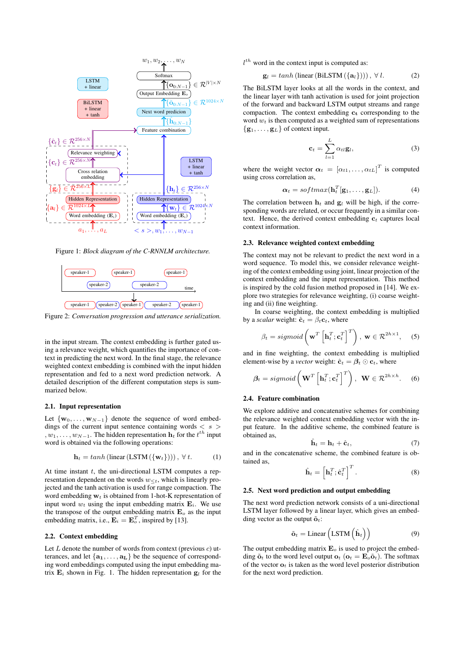

Figure 1: *Block diagram of the C-RNNLM architecture.*



Figure 2: *Conversation progression and utterance serialization.*

in the input stream. The context embedding is further gated using a relevance weight, which quantifies the importance of context in predicting the next word. In the final stage, the relevance weighted context embedding is combined with the input hidden representation and fed to a next word prediction network. A detailed description of the different computation steps is summarized below.

#### 2.1. Input representation

Let  $\{w_0, \ldots, w_{N-1}\}\$  denote the sequence of word embeddings of the current input sentence containing words  $\langle s \rangle$ ,  $w_1, \ldots, w_{N-1}$ . The hidden representation  $\mathbf{h}_t$  for the  $t^{th}$  input word is obtained via the following operations:

$$
\mathbf{h}_t = \tanh\left(\text{linear}\left(\text{LSTM}\left(\{\mathbf{w}_t\}\right)\right)\right), \ \forall \ t. \tag{1}
$$

At time instant  $t$ , the uni-directional LSTM computes a representation dependent on the words  $w_{\leq t}$ , which is linearly projected and the tanh activation is used for range compaction. The word embedding  $w_t$  is obtained from 1-hot-K representation of input word  $w_t$  using the input embedding matrix  $\mathbf{E}_i$ . We use the transpose of the output embedding matrix  $\mathbf{E}_o$  as the input embedding matrix, i.e.,  $\mathbf{E}_i = \mathbf{E}_o^T$ , inspired by [13].

## 2.2. Context embedding

Let  $L$  denote the number of words from context (previous  $c$ ) utterances, and let  $\{a_1, \ldots, a_L\}$  be the sequence of corresponding word embeddings computed using the input embedding matrix  $\mathbf{E}_i$  shown in Fig. 1. The hidden representation  $g_l$  for the  $l<sup>th</sup>$  word in the context input is computed as:

$$
\mathbf{g}_l = \tanh\left(\text{linear}\left(\text{BiLSTM}\left(\{\mathbf{a}_l\}\right)\right)\right), \ \forall \ l. \tag{2}
$$

The BiLSTM layer looks at all the words in the context, and the linear layer with tanh activation is used for joint projection of the forward and backward LSTM output streams and range compaction. The context embedding  $c_t$  corresponding to the word  $w_t$  is then computed as a weighted sum of representations  $\{$ **g**<sub>1</sub>, ..., **g**<sub>L</sub> $\}$  of context input.

$$
\mathbf{c}_t = \sum_{l=1}^L \alpha_{tl} \mathbf{g}_l, \tag{3}
$$

where the weight vector  $\boldsymbol{\alpha}_t = [\alpha_{t1}, \dots, \alpha_{tL}]^T$  is computed using cross correlation as,

$$
\boldsymbol{\alpha}_t = softmax(\mathbf{h}_t^T[\mathbf{g}_1, \dots, \mathbf{g}_L]).
$$
 (4)

The correlation between  $\mathbf{h}_t$  and  $\mathbf{g}_l$  will be high, if the corresponding words are related, or occur frequently in a similar context. Hence, the derived context embedding  $c_t$  captures local context information.

## 2.3. Relevance weighted context embedding

The context may not be relevant to predict the next word in a word sequence. To model this, we consider relevance weighting of the context embedding using joint, linear projection of the context embedding and the input representation. This method is inspired by the cold fusion method proposed in [14]. We explore two strategies for relevance weighting, (i) coarse weighting and (ii) fine weighting.

In coarse weighting, the context embedding is multiplied by a *scalar* weight:  $\hat{\mathbf{c}}_t = \beta_t \mathbf{c}_t$ , where

$$
\beta_t = sigmoid\left(\mathbf{w}^T\left[\mathbf{h}_t^T;\mathbf{c}_t^T\right]^T\right), \ \mathbf{w} \in \mathcal{R}^{2h \times 1}, \quad (5)
$$

and in fine weighting, the context embedding is multiplied element-wise by a *vector* weight:  $\hat{\mathbf{c}}_t = \boldsymbol{\beta}_t \odot \mathbf{c}_t$ , where

$$
\beta_t = sigmoid\left(\mathbf{W}^T\left[\mathbf{h}_t^T;\mathbf{c}_t^T\right]^T\right), \ \mathbf{W} \in \mathcal{R}^{2h \times h}.\tag{6}
$$

#### 2.4. Feature combination

We explore additive and concatenative schemes for combining the relevance weighted context embedding vector with the input feature. In the additive scheme, the combined feature is obtained as,

$$
\hat{\mathbf{h}}_t = \mathbf{h}_t + \hat{\mathbf{c}}_t,\tag{7}
$$

and in the concatenative scheme, the combined feature is obtained as,

$$
\hat{\mathbf{h}}_t = \left[\mathbf{h}_t^T; \hat{\mathbf{c}}_t^T\right]^T.
$$
\n(8)

## 2.5. Next word prediction and output embedding

The next word prediction network consists of a uni-directional LSTM layer followed by a linear layer, which gives an embedding vector as the output  $\tilde{\mathbf{o}}_t$ :

$$
\tilde{\mathbf{o}}_t = \text{Linear}\left(\text{LSTM}\left(\hat{\mathbf{h}}_t\right)\right) \tag{9}
$$

The output embedding matrix  $\mathbf{E}_o$  is used to project the embedding  $\tilde{\mathbf{o}}_t$  to the word level output  $\mathbf{o}_t$  ( $\mathbf{o}_t = \mathbf{E}_o \tilde{\mathbf{o}}_t$ ). The softmax of the vector  $\mathbf{o}_t$  is taken as the word level posterior distribution for the next word prediction.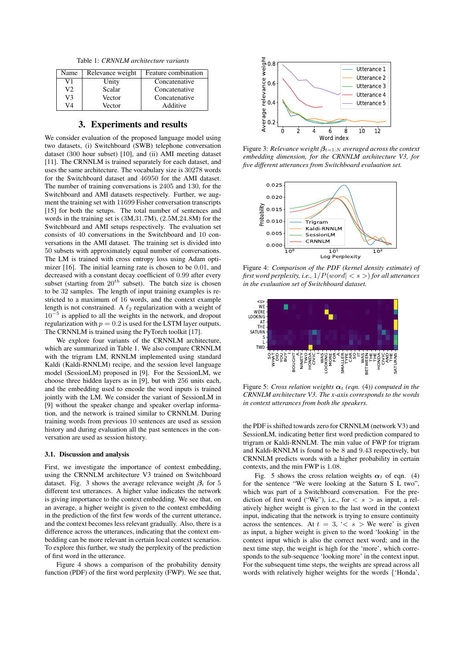Table 1: *CRNNLM architecture variants*

| Name | Relevance weight | Feature combination |
|------|------------------|---------------------|
| V1   | Unity            | Concatenative       |
| V2   | Scalar           | Concatenative       |
| V٩   | Vector           | Concatenative       |
| V4   | Vector           | Additive            |

## 3. Experiments and results

We consider evaluation of the proposed language model using two datasets, (i) Switchboard (SWB) telephone conversation dataset (300 hour subset) [10], and (ii) AMI meeting dataset [11]. The CRNNLM is trained separately for each dataset, and uses the same architecture. The vocabulary size is 30278 words for the Switchboard dataset and 46950 for the AMI dataset. The number of training conversations is 2405 and 130, for the Switchboard and AMI datasets respectively. Further, we augment the training set with 11699 Fisher conversation transcripts [15] for both the setups. The total number of sentences and words in the training set is (3M,31.7M), (2.5M,24.8M) for the Switchboard and AMI setups respectively. The evaluation set consists of 40 conversations in the Switchboard and 10 conversations in the AMI dataset. The training set is divided into 50 subsets with approximately equal number of conversations. The LM is trained with cross entropy loss using Adam optimizer [16]. The initial learning rate is chosen to be 0.01, and decreased with a constant decay coefficient of 0.99 after every subset (starting from  $20^{th}$  subset). The batch size is chosen to be 32 samples. The length of input training examples is restricted to a maximum of 16 words, and the context example length is not constrained. A  $\ell_2$  regularization with a weight of 10<sup>−</sup><sup>5</sup> is applied to all the weights in the network, and dropout regularization with  $p = 0.2$  is used for the LSTM layer outputs. The CRNNLM is trained using the PyTorch toolkit [17].

We explore four variants of the CRNNLM architecture, which are summarized in Table 1. We also compare CRNNLM with the trigram LM, RNNLM implemented using standard Kaldi (Kaldi-RNNLM) recipe, and the session level language model (SessionLM) proposed in [9]. For the SessionLM, we choose three hidden layers as in [9], but with 256 units each, and the embedding used to encode the word inputs is trained jointly with the LM. We consider the variant of SessionLM in [9] without the speaker change and speaker overlap information, and the network is trained similar to CRNNLM. During training words from previous 10 sentences are used as session history and during evaluation all the past sentences in the conversation are used as session history.

#### 3.1. Discussion and analysis

First, we investigate the importance of context embedding, using the CRNNLM architecture V3 trained on Switchboard dataset. Fig. 3 shows the average relevance weight  $\beta_t$  for 5 different test utterances. A higher value indicates the network is giving importance to the context embedding. We see that, on an average, a higher weight is given to the context embedding in the prediction of the first few words of the current utterance, and the context becomes less relevant gradually. Also, there is a difference across the utterances, indicating that the context embedding can be more relevant in certain local context scenarios. To explore this further, we study the perplexity of the prediction of first word in the utterance.

Figure 4 shows a comparison of the probability density function (PDF) of the first word perplexity (FWP). We see that,



Figure 3: *Relevance weight*  $β$ <sub>*t*=1:*N*</sub> *averaged across the context embedding dimension, for the CRNNLM architecture V3, for five different utterances from Switchboard evaluation set.*



Figure 4: *Comparison of the PDF (kernel density estimate) of first word perplexity, i.e.,* 1/P(word| < s >) *for all utterances in the evaluation set of Switchboard dataset.*



Figure 5: *Cross relation weights*  $\alpha_t$  (eqn. (4)) computed in the *CRNNLM architecture V3. The x-axis corresponds to the words in context utterances from both the speakers.*

the PDF is shifted towards zero for CRNNLM (network V3) and SessionLM, indicating better first word prediction compared to trigram or Kaldi-RNNLM. The min value of FWP for trigram and Kaldi-RNNLM is found to be 8 and 9.43 respectively, but CRNNLM predicts words with a higher probability in certain contexts, and the min FWP is 1.08.

Fig. 5 shows the cross relation weights  $\alpha_t$  of eqn. (4) for the sentence "We were looking at the Saturn S L two", which was part of a Switchboard conversation. For the prediction of first word ("We"), i.e., for  $\langle s \rangle$  as input, a relatively higher weight is given to the last word in the context input, indicating that the network is trying to ensure continuity across the sentences. At  $t = 3, \leq s$  > We were' is given as input, a higher weight is given to the word 'looking' in the context input which is also the correct next word; and in the next time step, the weight is high for the 'more', which corresponds to the sub-sequence 'looking more' in the context input. For the subsequent time steps, the weights are spread across all words with relatively higher weights for the words {'Honda',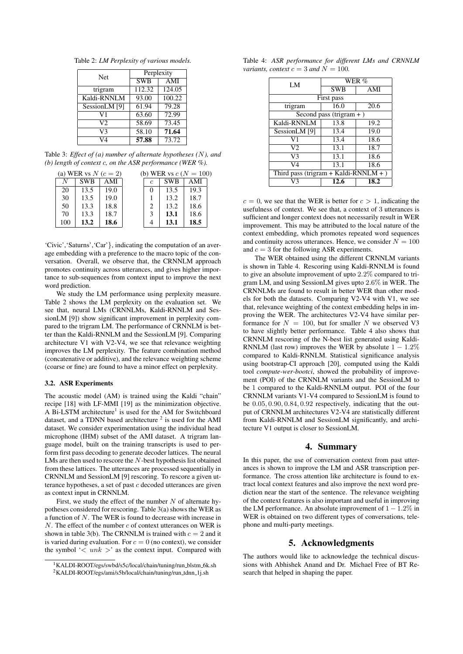Table 2: *LM Perplexity of various models.*

| <b>Net</b>     | Perplexity |        |  |
|----------------|------------|--------|--|
|                | <b>SWB</b> | AMI    |  |
| trigram        | 112.32     | 124.05 |  |
| Kaldi-RNNLM    | 93.00      | 100.22 |  |
| SessionLM [9]  | 61.94      | 79.28  |  |
| V1             | 63.60      | 72.99  |  |
| V <sub>2</sub> | 58.69      | 73.45  |  |
| V3             | 58.10      | 71.64  |  |
|                | 57.88      | 73.72  |  |

Table 3: *Effect of (a) number of alternate hypotheses (*N*), and (b) length of context* c*, on the ASR performance (WER %).*

| (a) WER vs $N(c=2)$ |            |      |            | (b) WER vs $c (N = 100)$ |      |
|---------------------|------------|------|------------|--------------------------|------|
| N                   | <b>SWB</b> | AMI  | $\epsilon$ | <b>SWB</b>               | AMI  |
| 20                  | 13.5       | 19.0 | $\theta$   | 13.5                     | 19.3 |
| 30                  | 13.5       | 19.0 |            | 13.2                     | 18.7 |
| 50                  | 13.3       | 18.8 | 2          | 13.2                     | 18.6 |
| 70                  | 13.3       | 18.7 | 3          | 13.1                     | 18.6 |
| 100                 | 13.2       | 18.6 |            | 13.1                     | 18.5 |

'Civic','Saturns','Car'}, indicating the computation of an average embedding with a preference to the macro topic of the conversation. Overall, we observe that, the CRNNLM approach promotes continuity across utterances, and gives higher importance to sub-sequences from context input to improve the next word prediction.

We study the LM performance using perplexity measure. Table 2 shows the LM perplexity on the evaluation set. We see that, neural LMs (CRNNLMs, Kaldi-RNNLM and SessionLM [9]) show significant improvement in perplexity compared to the trigram LM. The performance of CRNNLM is better than the Kaldi-RNNLM and the SessionLM [9]. Comparing architecture V1 with V2-V4, we see that relevance weighting improves the LM perplexity. The feature combination method (concatenative or additive), and the relevance weighting scheme (coarse or fine) are found to have a minor effect on perplexity.

### 3.2. ASR Experiments

The acoustic model (AM) is trained using the Kaldi "chain" recipe [18] with LF-MMI [19] as the minimization objective. A Bi-LSTM architecture<sup>1</sup> is used for the AM for Switchboard dataset, and a TDNN based architecture  $2$  is used for the AMI dataset. We consider experimentation using the individual head microphone (IHM) subset of the AMI dataset. A trigram language model, built on the training transcripts is used to perform first pass decoding to generate decoder lattices. The neural LMs are then used to rescore the N-best hypothesis list obtained from these lattices. The utterances are processed sequentially in CRNNLM and SessionLM [9] rescoring. To rescore a given utterance hypotheses, a set of past  $c$  decoded utterances are given as context input in CRNNLM.

First, we study the effect of the number  $N$  of alternate hypotheses considered for rescoring. Table 3(a) shows the WER as a function of N. The WER is found to decrease with increase in N. The effect of the number  $c$  of context utterances on WER is shown in table 3(b). The CRNNLM is trained with  $c = 2$  and it is varied during evaluation. For  $c = 0$  (no context), we consider the symbol ' $\langle$  unk  $\rangle$ ' as the context input. Compared with

Table 4: *ASR performance for different LMs and CRNNLM variants, context*  $c = 3$  *and*  $N = 100$ *.* 

| LM                                    | WER %      |      |  |  |  |  |
|---------------------------------------|------------|------|--|--|--|--|
|                                       | <b>SWB</b> | AMI  |  |  |  |  |
| First pass                            |            |      |  |  |  |  |
| trigram                               | 16.0       | 20.6 |  |  |  |  |
| Second pass (trigram $+$ )            |            |      |  |  |  |  |
| Kaldi-RNNLM                           | 13.8       | 19.2 |  |  |  |  |
| SessionLM [9]                         | 13.4       | 19.0 |  |  |  |  |
| V1                                    | 13.4       | 18.6 |  |  |  |  |
| V2                                    | 13.1       | 18.7 |  |  |  |  |
| V3                                    | 13.1       | 18.6 |  |  |  |  |
| V4                                    | 13.1       | 18.6 |  |  |  |  |
| Third pass (trigram + Kaldi-RNNLM + ) |            |      |  |  |  |  |
| V٩                                    | 12.6       | 18.2 |  |  |  |  |

 $c = 0$ , we see that the WER is better for  $c > 1$ , indicating the usefulness of context. We see that, a context of 3 utterances is sufficient and longer context does not necessarily result in WER improvement. This may be attributed to the local nature of the context embedding, which promotes repeated word sequences and continuity across utterances. Hence, we consider  $N = 100$ and  $c = 3$  for the following ASR experiments.

The WER obtained using the different CRNNLM variants is shown in Table 4. Rescoring using Kaldi-RNNLM is found to give an absolute improvement of upto 2.2% compared to trigram LM, and using SessionLM gives upto 2.6% in WER. The CRNNLMs are found to result in better WER than other models for both the datasets. Comparing V2-V4 with V1, we see that, relevance weighting of the context embedding helps in improving the WER. The architectures V2-V4 have similar performance for  $N = 100$ , but for smaller N we observed V3 to have slightly better performance. Table 4 also shows that CRNNLM rescoring of the N-best list generated using Kaldi-RNNLM (last row) improves the WER by absolute  $1 - 1.2\%$ compared to Kaldi-RNNLM. Statistical significance analysis using bootstrap-CI approach [20], computed using the Kaldi tool *compute-wer-bootci*, showed the probability of improvement (POI) of the CRNNLM variants and the SessionLM to be 1 compared to the Kaldi-RNNLM output. POI of the four CRNNLM variants V1-V4 compared to SessionLM is found to be 0.05, 0.90, 0.84, 0.92 respectively, indicating that the output of CRNNLM architectures V2-V4 are statistically different from Kaldi-RNNLM and SessionLM significantly, and architecture V1 output is closer to SessionLM.

## 4. Summary

In this paper, the use of conversation context from past utterances is shown to improve the LM and ASR transcription performance. The cross attention like architecture is found to extract local context features and also improve the next word prediction near the start of the sentence. The relevance weighting of the context features is also important and useful in improving the LM performance. An absolute improvement of  $1 - 1.2\%$  in WER is obtained on two different types of conversations, telephone and multi-party meetings.

# 5. Acknowledgments

The authors would like to acknowledge the technical discussions with Abhishek Anand and Dr. Michael Free of BT Research that helped in shaping the paper.

<sup>&</sup>lt;sup>1</sup>KALDI-ROOT/egs/swbd/s5c/local/chain/tuning/run\_blstm\_6k.sh <sup>2</sup>KALDI-ROOT/egs/ami/s5b/local/chain/tuning/run\_tdnn\_1j.sh